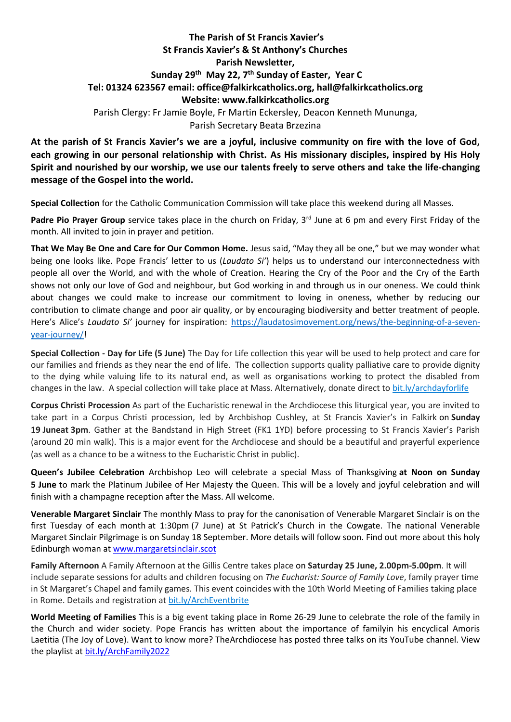## **The Parish of St Francis Xavier's St Francis Xavier's & St Anthony's Churches Parish Newsletter, Sunday 29 th May 22, 7 th Sunday of Easter, Year C Tel: 01324 623567 email: office@falkirkcatholics.org, [hall@falkirkcatholics.org](mailto:hall@falkirkcatholics.org) Website: [www.falkirkcatholics.org](http://www.falkirkcatholics.org/)**  Parish Clergy: Fr Jamie Boyle, Fr Martin Eckersley, Deacon Kenneth Mununga, Parish Secretary Beata Brzezina

**At the parish of St Francis Xavier's we are a joyful, inclusive community on fire with the love of God, each growing in our personal relationship with Christ. As His missionary disciples, inspired by His Holy Spirit and nourished by our worship, we use our talents freely to serve others and take the life-changing message of the Gospel into the world.**

**Special Collection** for the Catholic Communication Commission will take place this weekend during all Masses.

Padre Pio Prayer Group service takes place in the church on Friday, 3<sup>rd</sup> June at 6 pm and every First Friday of the month. All invited to join in prayer and petition.

**That We May Be One and Care for Our Common Home.** Jesus said, "May they all be one," but we may wonder what being one looks like. Pope Francis' letter to us (*Laudato Si'*) helps us to understand our interconnectedness with people all over the World, and with the whole of Creation. Hearing the Cry of the Poor and the Cry of the Earth shows not only our love of God and neighbour, but God working in and through us in our oneness. We could think about changes we could make to increase our commitment to loving in oneness, whether by reducing our contribution to climate change and poor air quality, or by encouraging biodiversity and better treatment of people. Here's Alice's *Laudato Si'* journey for inspiration: [https://laudatosimovement.org/news/the-beginning-of-a-seven](https://laudatosimovement.org/news/the-beginning-of-a-seven-year-journey/)[year-journey/!](https://laudatosimovement.org/news/the-beginning-of-a-seven-year-journey/)

**Special Collection - Day for Life (5 June)** The Day for Life collection this year will be used to help protect and care for our families and friends as they near the end of life. The collection supports quality palliative care to provide dignity to the dying while valuing life to its natural end, as well as organisations working to protect the disabled from changes in the law. A special collection will take place at Mass. Alternatively, donate direct to [bit.ly/archdayforlife](https://bit.ly/archdayforlife)

**Corpus Christi Procession** As part of the Eucharistic renewal in the Archdiocese this liturgical year, you are invited to take part in a Corpus Christi procession, led by Archbishop Cushley, at St Francis Xavier's in Falkirk on **Sunday 19 Juneat 3pm**. Gather at the Bandstand in High Street (FK1 1YD) before processing to St Francis Xavier's Parish (around 20 min walk). This is a major event for the Archdiocese and should be a beautiful and prayerful experience (as well as a chance to be a witness to the Eucharistic Christ in public).

**Queen's Jubilee Celebration** Archbishop Leo will celebrate a special Mass of Thanksgiving **at Noon on Sunday 5 June** to mark the Platinum Jubilee of Her Majesty the Queen. This will be a lovely and joyful celebration and will finish with a champagne reception after the Mass. All welcome.

**Venerable Margaret Sinclair** The monthly Mass to pray for the canonisation of Venerable Margaret Sinclair is on the first Tuesday of each month at 1:30pm (7 June) at St Patrick's Church in the Cowgate. The national Venerable Margaret Sinclair Pilgrimage is on Sunday 18 September. More details will follow soon. Find out more about this holy Edinburgh woman at [www.margaretsinclair.scot](http://www.margaretsinclair.scot/)

**Family Afternoon** A Family Afternoon at the Gillis Centre takes place on **Saturday 25 June, 2.00pm-5.00pm**. It will include separate sessions for adults and children focusing on *The Eucharist: Source of Family Love*, family prayer time in St Margaret's Chapel and family games. This event coincides with the 10th World Meeting of Families taking place in Rome. Details and registration at [bit.ly/ArchEventbrite](https://bit.ly/ArchEventbrite)

**World Meeting of Families** This is a big event taking place in Rome 26-29 June to celebrate the role of the family in the Church and wider society. Pope Francis has written about the importance of familyin his encyclical Amoris Laetitia (The Joy of Love). Want to know more? TheArchdiocese has posted three talks on its YouTube channel. View the playlist at [bit.ly/ArchFamily2022](https://www.youtube.com/playlist?list=PLQv_xMj23KQgSetlM_e3kCFxdy9Tya7B2)